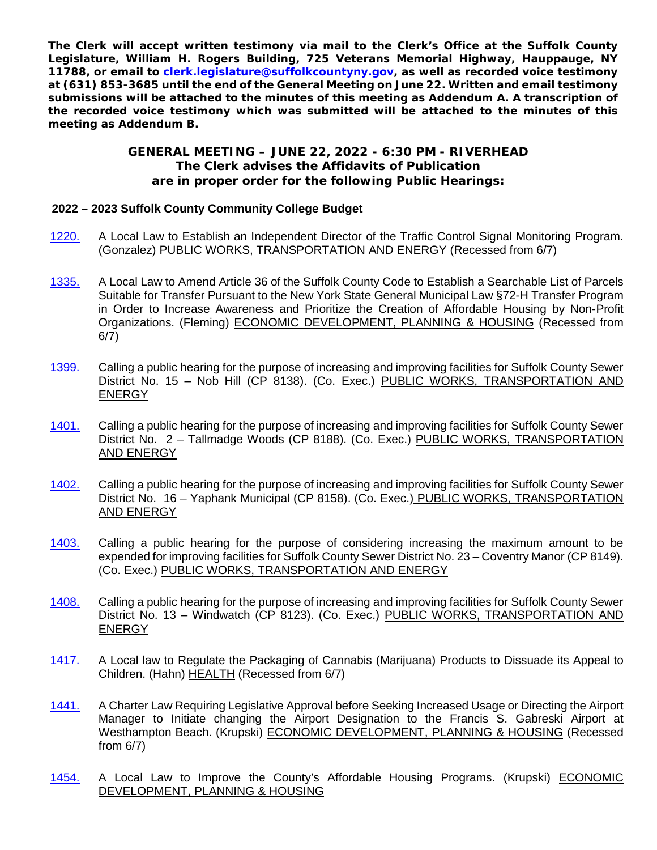**The Clerk will accept written testimony via mail to the Clerk's Office at the Suffolk County Legislature, William H. Rogers Building, 725 Veterans Memorial Highway, Hauppauge, NY 11788, or email to [clerk.legislature@suffolkcountyny.gov,](mailto:clerk.legislature@suffolkcountyny.gov) as well as recorded voice testimony at (631) 853-3685 until the end of the General Meeting on June 22. Written and email testimony submissions will be attached to the minutes of this meeting as Addendum A. A transcription of the recorded voice testimony which was submitted will be attached to the minutes of this meeting as Addendum B.**

## **GENERAL MEETING – JUNE 22, 2022 - 6:30 PM - RIVERHEAD The Clerk advises the Affidavits of Publication are in proper order for the following Public Hearings:**

## **2022 – 2023 Suffolk County Community College Budget**

- [1220.](https://www.scnylegislature.us/DocumentCenter/View/83050/Introductory-Resolution-1220-22-PDF) A Local Law to Establish an Independent Director of the Traffic Control Signal Monitoring Program. (Gonzalez) PUBLIC WORKS, TRANSPORTATION AND ENERGY (Recessed from 6/7)
- [1335.](https://www.scnylegislature.us/DocumentCenter/View/83778/Introductory-Resolution-1335-22-PDF) A Local Law to Amend Article 36 of the Suffolk County Code to Establish a Searchable List of Parcels Suitable for Transfer Pursuant to the New York State General Municipal Law §72-H Transfer Program in Order to Increase Awareness and Prioritize the Creation of Affordable Housing by Non-Profit Organizations. (Fleming) ECONOMIC DEVELOPMENT, PLANNING & HOUSING (Recessed from 6/7)
- [1399.](https://www.scnylegislature.us/DocumentCenter/View/84411/Introductory-Resolution-1399-22-PDF) Calling a public hearing for the purpose of increasing and improving facilities for Suffolk County Sewer District No. 15 – Nob Hill (CP 8138). (Co. Exec.) PUBLIC WORKS, TRANSPORTATION AND ENERGY
- [1401.](https://www.scnylegislature.us/DocumentCenter/View/84413/Introductory-Resolution-1401-22-PDF) Calling a public hearing for the purpose of increasing and improving facilities for Suffolk County Sewer District No. 2 – Tallmadge Woods (CP 8188). (Co. Exec.) PUBLIC WORKS, TRANSPORTATION AND ENERGY
- [1402.](https://www.scnylegislature.us/DocumentCenter/View/84414/Introductory-Resolution-1402-22-PDF) Calling a public hearing for the purpose of increasing and improving facilities for Suffolk County Sewer District No. 16 – Yaphank Municipal (CP 8158). (Co. Exec.) PUBLIC WORKS, TRANSPORTATION AND ENERGY
- [1403.](https://www.scnylegislature.us/DocumentCenter/View/84415/Introductory-Resolution-1403-22-PDF) Calling a public hearing for the purpose of considering increasing the maximum amount to be expended for improving facilities for Suffolk County Sewer District No. 23 – Coventry Manor (CP 8149). (Co. Exec.) PUBLIC WORKS, TRANSPORTATION AND ENERGY
- [1408.](https://www.scnylegislature.us/DocumentCenter/View/84420/Introductory-Resolution-1408-22-PDF) Calling a public hearing for the purpose of increasing and improving facilities for Suffolk County Sewer District No. 13 – Windwatch (CP 8123). (Co. Exec.) PUBLIC WORKS, TRANSPORTATION AND ENERGY
- [1417.](https://www.scnylegislature.us/DocumentCenter/View/84451/Introductory-Resolution-1417-22-PDF) A Local law to Regulate the Packaging of Cannabis (Marijuana) Products to Dissuade its Appeal to Children. (Hahn) HEALTH (Recessed from 6/7)
- [1441.](https://www.scnylegislature.us/DocumentCenter/View/84670/Introductory-Resolution-1441-22-PDF) A Charter Law Requiring Legislative Approval before Seeking Increased Usage or Directing the Airport Manager to Initiate changing the Airport Designation to the Francis S. Gabreski Airport at Westhampton Beach. (Krupski) ECONOMIC DEVELOPMENT, PLANNING & HOUSING (Recessed from 6/7)
- [1454.](https://www.scnylegislature.us/DocumentCenter/View/85045/Introductory-Resolution-1454-22-PDF) A Local Law to Improve the County's Affordable Housing Programs. (Krupski) ECONOMIC DEVELOPMENT, PLANNING & HOUSING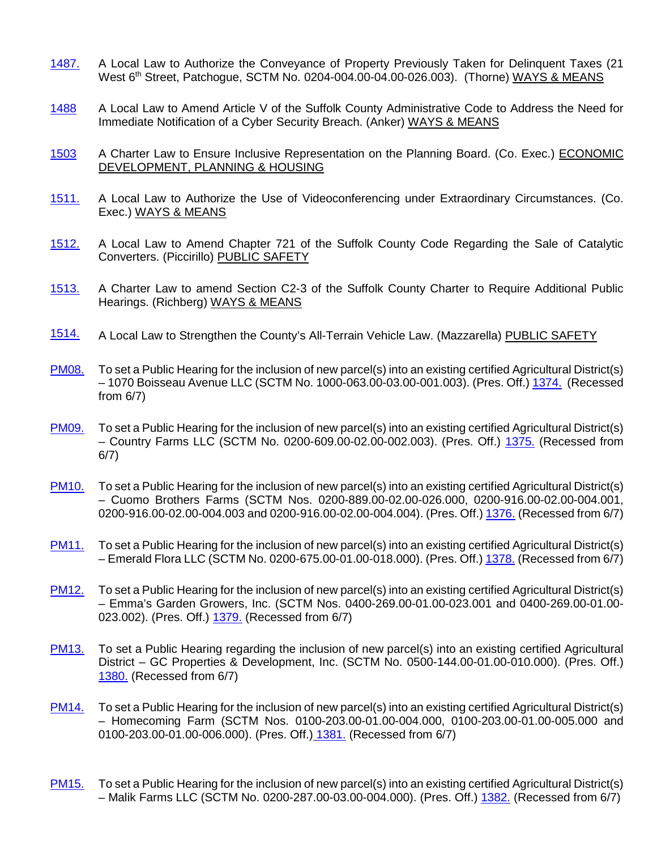- [1487.](https://www.scnylegislature.us/DocumentCenter/View/85032/Introductory-Resolution-1487-22-PDF) A Local Law to Authorize the Conveyance of Property Previously Taken for Delinquent Taxes (21 West 6<sup>th</sup> Street, Patchogue, SCTM No. 0204-004.00-04.00-026.003). (Thorne) WAYS & MEANS
- [1488](https://www.scnylegislature.us/DocumentCenter/View/85106/Introductory-Resolution-1488-22-PDF) A Local Law to Amend Article V of the Suffolk County Administrative Code to Address the Need for Immediate Notification of a Cyber Security Breach. (Anker) WAYS & MEANS
- [1503](https://www.scnylegislature.us/DocumentCenter/View/85067/Introductory-Resolution-1503-22-PDF) A Charter Law to Ensure Inclusive Representation on the Planning Board. (Co. Exec.) ECONOMIC DEVELOPMENT, PLANNING & HOUSING
- [1511.](https://www.scnylegislature.us/DocumentCenter/View/85151/Introductory-Resolution-1511-22-PDF) A Local Law to Authorize the Use of Videoconferencing under Extraordinary Circumstances. (Co. Exec.) WAYS & MEANS
- [1512.](https://www.scnylegislature.us/DocumentCenter/View/85152/Introductory-Resolution-1512-22-PDF) A Local Law to Amend Chapter 721 of the Suffolk County Code Regarding the Sale of Catalytic Converters. (Piccirillo) PUBLIC SAFETY
- [1513.](https://www.scnylegislature.us/DocumentCenter/View/85153/Introductory-Resolution-1513-22-PDF) A Charter Law to amend Section C2-3 of the Suffolk County Charter to Require Additional Public Hearings. (Richberg) WAYS & MEANS
- [1514.](https://www.scnylegislature.us/DocumentCenter/View/85172/Introductory-Resolution-1514-22-PDF) A Local Law to Strengthen the County's All-Terrain Vehicle Law. (Mazzarella) PUBLIC SAFETY
- [PM08.](https://www.scnylegislature.us/DocumentCenter/View/84578/Procedural-Motion-08-2022-PDF) To set a Public Hearing for the inclusion of new parcel(s) into an existing certified Agricultural District(s) – 1070 Boisseau Avenue LLC (SCTM No. 1000-063.00-03.00-001.003). (Pres. Off.) [1374.](https://www.scnylegislature.us/DocumentCenter/View/84399/Introductory-Resolution-1374-22-PDF) (Recessed from 6/7)
- [PM09.](https://www.scnylegislature.us/DocumentCenter/View/84579/Procedural-Motion-09-2022-PDF) To set a Public Hearing for the inclusion of new parcel(s) into an existing certified Agricultural District(s) – Country Farms LLC (SCTM No. 0200-609.00-02.00-002.003). (Pres. Off.) [1375.](https://www.scnylegislature.us/DocumentCenter/View/84400/Introductory-Resolution-1375-22-PDF) (Recessed from 6/7)
- [PM10.](https://www.scnylegislature.us/DocumentCenter/View/84580/Procedural-Motion-10-2022-PDF) To set a Public Hearing for the inclusion of new parcel(s) into an existing certified Agricultural District(s) – Cuomo Brothers Farms (SCTM Nos. 0200-889.00-02.00-026.000, 0200-916.00-02.00-004.001, 0200-916.00-02.00-004.003 and 0200-916.00-02.00-004.004). (Pres. Off.) [1376.](https://www.scnylegislature.us/DocumentCenter/View/84401/Introductory-Resolution-1376-22-PDF) (Recessed from 6/7)
- [PM11.](https://www.scnylegislature.us/DocumentCenter/View/84567/Procedural-Motion-11-2022-PDF) To set a Public Hearing for the inclusion of new parcel(s) into an existing certified Agricultural District(s) – Emerald Flora LLC (SCTM No. 0200-675.00-01.00-018.000). (Pres. Off.[\) 1378.](https://www.scnylegislature.us/DocumentCenter/View/84402/Introductory-Resolution-1378-22-PDF) (Recessed from 6/7)
- [PM12.](https://www.scnylegislature.us/DocumentCenter/View/84568/Procedural-Motion-12-2022-PDF) To set a Public Hearing for the inclusion of new parcel(s) into an existing certified Agricultural District(s) – Emma's Garden Growers, Inc. (SCTM Nos. 0400-269.00-01.00-023.001 and 0400-269.00-01.00- 023.002). (Pres. Off.) [1379.](https://www.scnylegislature.us/DocumentCenter/View/84403/Introductory-Resolution-1379-22-PDF) (Recessed from 6/7)
- [PM13.](https://www.scnylegislature.us/DocumentCenter/View/84569/Procedural-Motion-13-2022-PDF) To set a Public Hearing regarding the inclusion of new parcel(s) into an existing certified Agricultural District – GC Properties & Development, Inc. (SCTM No. 0500-144.00-01.00-010.000). (Pres. Off.) [1380.](https://www.scnylegislature.us/DocumentCenter/View/84404/Introductory-Resolution-1380-22-PDF) (Recessed from 6/7)
- [PM14.](https://www.scnylegislature.us/DocumentCenter/View/84570/Procedural-Motion-14-2022-PDF) To set a Public Hearing for the inclusion of new parcel(s) into an existing certified Agricultural District(s) – Homecoming Farm (SCTM Nos. 0100-203.00-01.00-004.000, 0100-203.00-01.00-005.000 and 0100-203.00-01.00-006.000). (Pres. Off.) [1381.](https://www.scnylegislature.us/DocumentCenter/View/84405/Introductory-Resolution-1381-22-PDF) (Recessed from 6/7)
- [PM15.](https://www.scnylegislature.us/DocumentCenter/View/84571/Procedural-Motion-15-2022-PDF) To set a Public Hearing for the inclusion of new parcel(s) into an existing certified Agricultural District(s) – Malik Farms LLC (SCTM No. 0200-287.00-03.00-004.000). (Pres. Off.) [1382.](https://www.scnylegislature.us/DocumentCenter/View/84406/Introductory-Resolution-1382-22-PDF) (Recessed from 6/7)